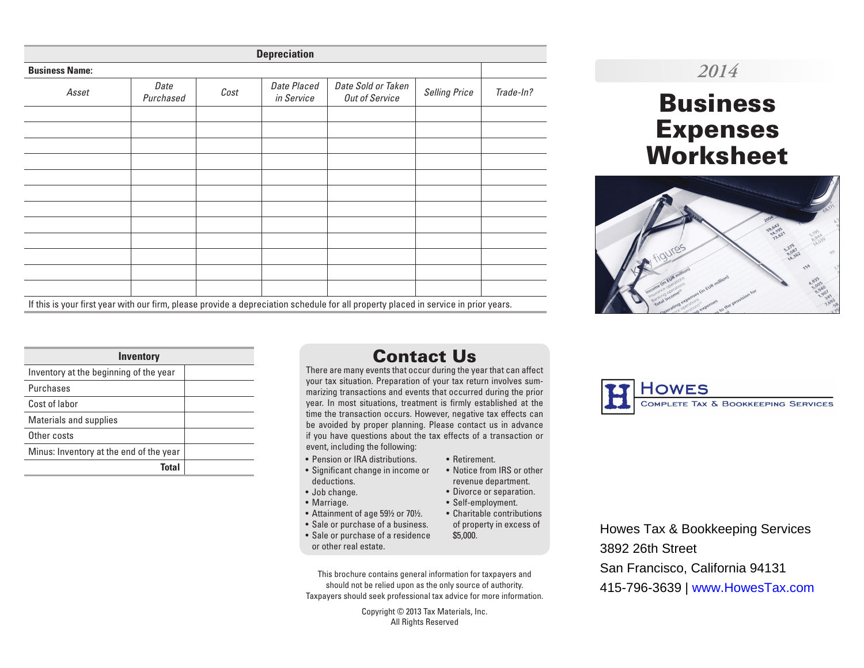| <b>Depreciation</b>   |                   |      |                           |                                                                                                                                     |                      |           |  |
|-----------------------|-------------------|------|---------------------------|-------------------------------------------------------------------------------------------------------------------------------------|----------------------|-----------|--|
| <b>Business Name:</b> |                   |      |                           |                                                                                                                                     |                      |           |  |
| Asset                 | Date<br>Purchased | Cost | Date Placed<br>in Service | Date Sold or Taken<br><b>Out of Service</b>                                                                                         | <b>Selling Price</b> | Trade-In? |  |
|                       |                   |      |                           |                                                                                                                                     |                      |           |  |
|                       |                   |      |                           |                                                                                                                                     |                      |           |  |
|                       |                   |      |                           |                                                                                                                                     |                      |           |  |
|                       |                   |      |                           |                                                                                                                                     |                      |           |  |
|                       |                   |      |                           |                                                                                                                                     |                      |           |  |
|                       |                   |      |                           |                                                                                                                                     |                      |           |  |
|                       |                   |      |                           |                                                                                                                                     |                      |           |  |
|                       |                   |      |                           |                                                                                                                                     |                      |           |  |
|                       |                   |      |                           |                                                                                                                                     |                      |           |  |
|                       |                   |      |                           |                                                                                                                                     |                      |           |  |
|                       |                   |      |                           |                                                                                                                                     |                      |           |  |
|                       |                   |      |                           |                                                                                                                                     |                      |           |  |
|                       |                   |      |                           | If this is your first year with our firm, please provide a depreciation schedule for all property placed in service in prior years. |                      |           |  |

### *2014*

# Business Expenses Worksheet



| Inventory                               |  |  |  |  |  |  |
|-----------------------------------------|--|--|--|--|--|--|
| Inventory at the beginning of the year  |  |  |  |  |  |  |
| Purchases                               |  |  |  |  |  |  |
| Cost of labor                           |  |  |  |  |  |  |
| Materials and supplies                  |  |  |  |  |  |  |
| Other costs                             |  |  |  |  |  |  |
| Minus: Inventory at the end of the year |  |  |  |  |  |  |
| Total                                   |  |  |  |  |  |  |

### Contact Us

There are many events that occur during the year that can affect your tax situation. Preparation of your tax return involves summarizing transactions and events that occurred during the prior year. In most situations, treatment is firmly established at the time the transaction occurs. However, negative tax effects can be avoided by proper planning. Please contact us in advance if you have questions about the tax effects of a transaction or event, including the following:

- Pension or IRA distributions.
- Significant change in income or deductions.
- Job change.
- Marriage.
- Attainment of age 59½ or 70½.
- Sale or purchase of a business.
- Sale or purchase of a residence or other real estate.
- Retirement. • Notice from IRS or other
- revenue department.
- Divorce or separation.
- 
- 
- 
- Self-employment. • Charitable contributions
- of property in excess of \$5,000.

This brochure contains general information for taxpayers and should not be relied upon as the only source of authority. Taxpayers should seek professional tax advice for more information.

> Copyright © 2013 Tax Materials, Inc. All Rights Reserved



Howes Tax & Bookkeeping Services 3892 26th Street San Francisco, California 94131 415-796-3639 | www.HowesTax.com